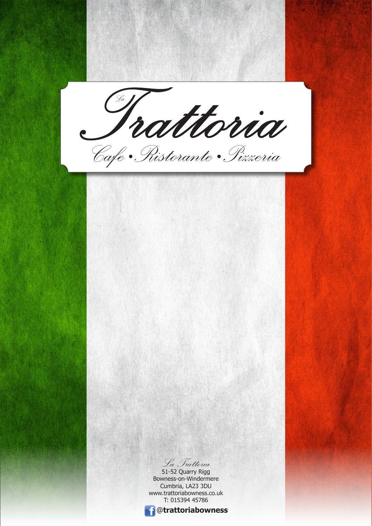@**trattoriabowness** *La Trattoria*  51-52 Quarry Rigg Bowness-on-Windermere Cumbria, LA23 3DU www.trattoriabowness.co.uk T: 015394 45786 *Trattoria La* Cafe • Ristorante • Pizzeria